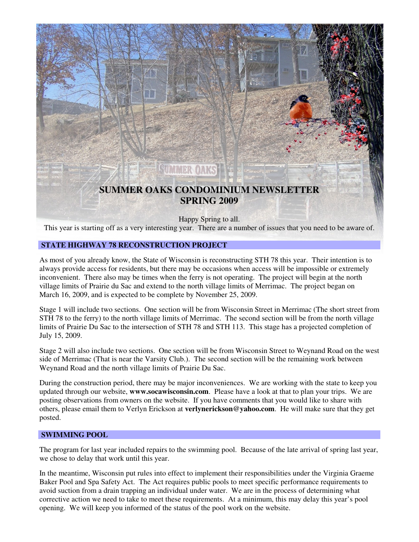

This year is starting off as a very interesting year. There are a number of issues that you need to be aware of.

# **STATE HIGHWAY 78 RECONSTRUCTION PROJECT**

As most of you already know, the State of Wisconsin is reconstructing STH 78 this year. Their intention is to always provide access for residents, but there may be occasions when access will be impossible or extremely inconvenient. There also may be times when the ferry is not operating. The project will begin at the north village limits of Prairie du Sac and extend to the north village limits of Merrimac. The project began on March 16, 2009, and is expected to be complete by November 25, 2009.

Stage 1 will include two sections. One section will be from Wisconsin Street in Merrimac (The short street from STH 78 to the ferry) to the north village limits of Merrimac. The second section will be from the north village limits of Prairie Du Sac to the intersection of STH 78 and STH 113. This stage has a projected completion of July 15, 2009.

Stage 2 will also include two sections. One section will be from Wisconsin Street to Weynand Road on the west side of Merrimac (That is near the Varsity Club.). The second section will be the remaining work between Weynand Road and the north village limits of Prairie Du Sac.

During the construction period, there may be major inconveniences. We are working with the state to keep you updated through our website, **www.socawisconsin.com**. Please have a look at that to plan your trips. We are posting observations from owners on the website. If you have comments that you would like to share with others, please email them to Verlyn Erickson at **verlynerickson@yahoo.com**. He will make sure that they get posted.

### **SWIMMING POOL**

The program for last year included repairs to the swimming pool. Because of the late arrival of spring last year, we chose to delay that work until this year.

In the meantime, Wisconsin put rules into effect to implement their responsibilities under the Virginia Graeme Baker Pool and Spa Safety Act. The Act requires public pools to meet specific performance requirements to avoid suction from a drain trapping an individual under water. We are in the process of determining what corrective action we need to take to meet these requirements. At a minimum, this may delay this year's pool opening. We will keep you informed of the status of the pool work on the website.